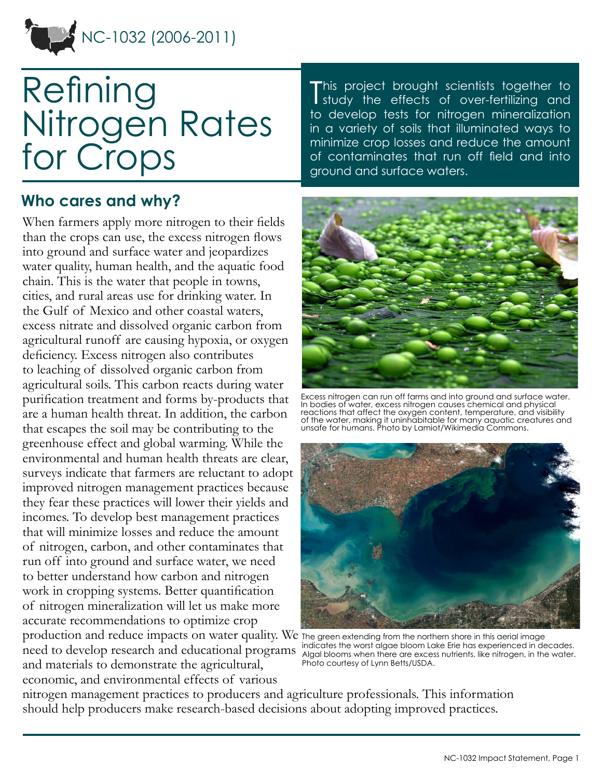

# Refining Nitrogen Rates for Crops

#### **Who cares and why?**

When farmers apply more nitrogen to their fields than the crops can use, the excess nitrogen flows into ground and surface water and jeopardizes water quality, human health, and the aquatic food chain. This is the water that people in towns, cities, and rural areas use for drinking water. In the Gulf of Mexico and other coastal waters, excess nitrate and dissolved organic carbon from agricultural runoff are causing hypoxia, or oxygen deficiency. Excess nitrogen also contributes to leaching of dissolved organic carbon from agricultural soils. This carbon reacts during water purification treatment and forms by-products that are a human health threat. In addition, the carbon that escapes the soil may be contributing to the greenhouse effect and global warming. While the environmental and human health threats are clear, surveys indicate that farmers are reluctant to adopt improved nitrogen management practices because they fear these practices will lower their yields and incomes. To develop best management practices that will minimize losses and reduce the amount of nitrogen, carbon, and other contaminates that run off into ground and surface water, we need to better understand how carbon and nitrogen work in cropping systems. Better quantification of nitrogen mineralization will let us make more accurate recommendations to optimize crop production and reduce impacts on water quality. We The green extending from the northern shore in this aerial image

need to develop research and educational programs and materials to demonstrate the agricultural, economic, and environmental effects of various

This project brought scientists together to<br>I study the effects of over-fertilizing and I study the effects of over-fertilizing and to develop tests for nitrogen mineralization in a variety of soils that illuminated ways to minimize crop losses and reduce the amount of contaminates that run off field and into ground and surface waters.



Excess nitrogen can run off farms and into ground and surface water. In bodies of water, excess nitrogen causes chemical and physical reactions that affect the oxygen content, temperature, and visibility of the water, making it uninhabitable for many aquatic creatures and unsafe for humans. Photo by Lamiot/Wikimedia Commons.



indicates the worst algae bloom Lake Erie has experienced in decades. Algal blooms when there are excess nutrients, like nitrogen, in the water. Photo courtesy of Lynn Betts/USDA.

nitrogen management practices to producers and agriculture professionals. This information should help producers make research-based decisions about adopting improved practices.